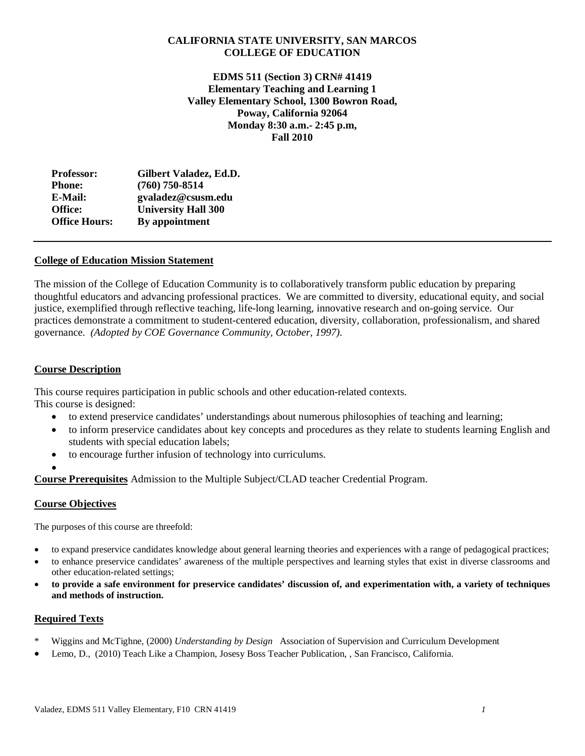## **CALIFORNIA STATE UNIVERSITY, SAN MARCOS COLLEGE OF EDUCATION**

**EDMS 511 (Section 3) CRN# 41419 Elementary Teaching and Learning 1 Valley Elementary School, 1300 Bowron Road, Poway, California 92064 Monday 8:30 a.m.- 2:45 p.m, Fall 2010**

| <b>Professor:</b>    | Gilbert Valadez, Ed.D.     |
|----------------------|----------------------------|
| <b>Phone:</b>        | $(760)$ 750-8514           |
| E-Mail:              | gvaladez@csusm.edu         |
| Office:              | <b>University Hall 300</b> |
| <b>Office Hours:</b> | By appointment             |
|                      |                            |

## **College of Education Mission Statement**

The mission of the College of Education Community is to collaboratively transform public education by preparing thoughtful educators and advancing professional practices. We are committed to diversity, educational equity, and social justice, exemplified through reflective teaching, life-long learning, innovative research and on-going service. Our practices demonstrate a commitment to student-centered education, diversity, collaboration, professionalism, and shared governance. *(Adopted by COE Governance Community, October, 1997).*

## **Course Description**

This course requires participation in public schools and other education-related contexts. This course is designed:

- to extend preservice candidates' understandings about numerous philosophies of teaching and learning;
- to inform preservice candidates about key concepts and procedures as they relate to students learning English and students with special education labels;
- to encourage further infusion of technology into curriculums.

•

**Course Prerequisites** Admission to the Multiple Subject/CLAD teacher Credential Program.

# **Course Objectives**

The purposes of this course are threefold:

- to expand preservice candidates knowledge about general learning theories and experiences with a range of pedagogical practices;
- to enhance preservice candidates' awareness of the multiple perspectives and learning styles that exist in diverse classrooms and other education-related settings;
- **to provide a safe environment for preservice candidates' discussion of, and experimentation with, a variety of techniques and methods of instruction.**

### **Required Texts**

- \* Wiggins and McTighne, (2000) *Understanding by Design* Association of Supervision and Curriculum Development
- Lemo, D., (2010) Teach Like a Champion, Josesy Boss Teacher Publication, , San Francisco, California.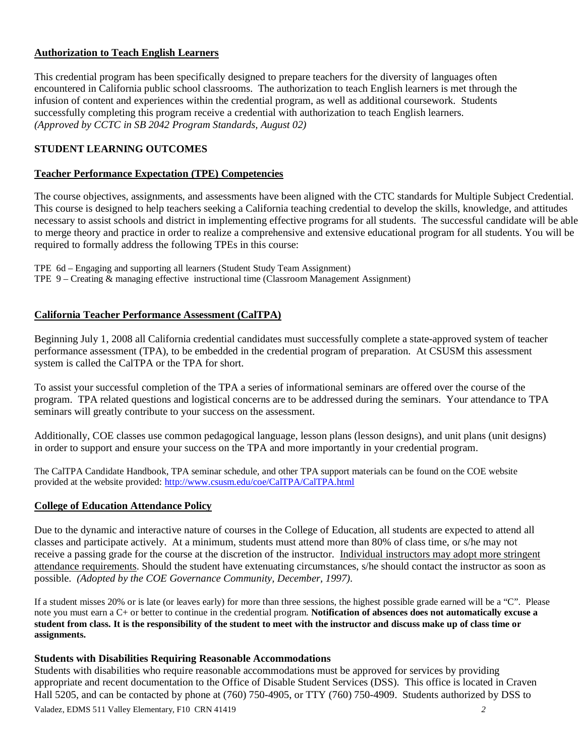# **Authorization to Teach English Learners**

This credential program has been specifically designed to prepare teachers for the diversity of languages often encountered in California public school classrooms. The authorization to teach English learners is met through the infusion of content and experiences within the credential program, as well as additional coursework. Students successfully completing this program receive a credential with authorization to teach English learners. *(Approved by CCTC in SB 2042 Program Standards, August 02)*

# **STUDENT LEARNING OUTCOMES**

## **Teacher Performance Expectation (TPE) Competencies**

The course objectives, assignments, and assessments have been aligned with the CTC standards for Multiple Subject Credential. This course is designed to help teachers seeking a California teaching credential to develop the skills, knowledge, and attitudes necessary to assist schools and district in implementing effective programs for all students. The successful candidate will be able to merge theory and practice in order to realize a comprehensive and extensive educational program for all students. You will be required to formally address the following TPEs in this course:

TPE 6d – Engaging and supporting all learners (Student Study Team Assignment) TPE 9 – Creating & managing effective instructional time (Classroom Management Assignment)

# **California Teacher Performance Assessment (CalTPA)**

Beginning July 1, 2008 all California credential candidates must successfully complete a state-approved system of teacher performance assessment (TPA), to be embedded in the credential program of preparation. At CSUSM this assessment system is called the CalTPA or the TPA for short.

To assist your successful completion of the TPA a series of informational seminars are offered over the course of the program. TPA related questions and logistical concerns are to be addressed during the seminars. Your attendance to TPA seminars will greatly contribute to your success on the assessment.

Additionally, COE classes use common pedagogical language, lesson plans (lesson designs), and unit plans (unit designs) in order to support and ensure your success on the TPA and more importantly in your credential program.

The CalTPA Candidate Handbook, TPA seminar schedule, and other TPA support materials can be found on the COE website provided at the website provided:<http://www.csusm.edu/coe/CalTPA/CalTPA.html>

# **College of Education Attendance Policy**

Due to the dynamic and interactive nature of courses in the College of Education, all students are expected to attend all classes and participate actively. At a minimum, students must attend more than 80% of class time, or s/he may not receive a passing grade for the course at the discretion of the instructor. Individual instructors may adopt more stringent attendance requirements. Should the student have extenuating circumstances, s/he should contact the instructor as soon as possible. *(Adopted by the COE Governance Community, December, 1997).*

If a student misses 20% or is late (or leaves early) for more than three sessions, the highest possible grade earned will be a "C". Please note you must earn a C+ or better to continue in the credential program. **Notification of absences does not automatically excuse a student from class. It is the responsibility of the student to meet with the instructor and discuss make up of class time or assignments.**

# **Students with Disabilities Requiring Reasonable Accommodations**

Valadez, EDMS 511 Valley Elementary, F10 CRN 41419 *2* Students with disabilities who require reasonable accommodations must be approved for services by providing appropriate and recent documentation to the Office of Disable Student Services (DSS). This office is located in Craven Hall 5205, and can be contacted by phone at (760) 750-4905, or TTY (760) 750-4909. Students authorized by DSS to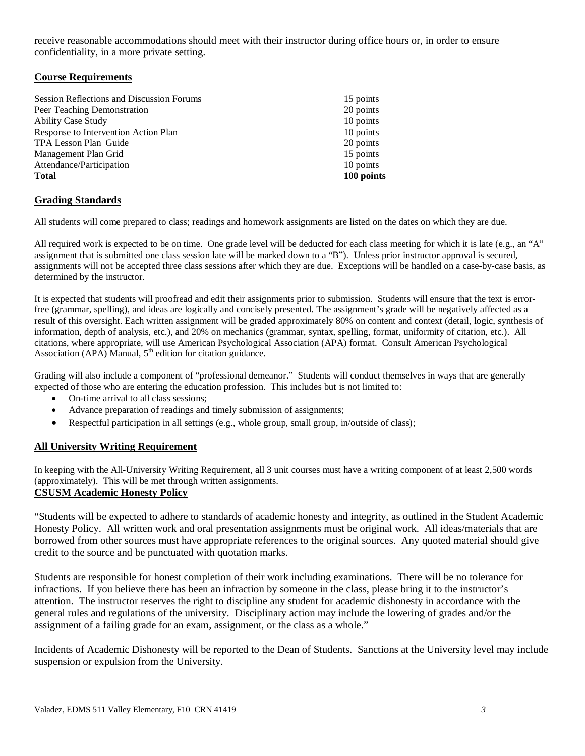receive reasonable accommodations should meet with their instructor during office hours or, in order to ensure confidentiality, in a more private setting.

## **Course Requirements**

| 15 points<br>10 points |
|------------------------|
|                        |
|                        |
| 20 points              |
| 10 points              |
| 10 points              |
| 20 points              |
| 15 points              |
|                        |

# **Grading Standards**

All students will come prepared to class; readings and homework assignments are listed on the dates on which they are due.

All required work is expected to be on time. One grade level will be deducted for each class meeting for which it is late (e.g., an "A" assignment that is submitted one class session late will be marked down to a "B"). Unless prior instructor approval is secured, assignments will not be accepted three class sessions after which they are due. Exceptions will be handled on a case-by-case basis, as determined by the instructor.

It is expected that students will proofread and edit their assignments prior to submission. Students will ensure that the text is errorfree (grammar, spelling), and ideas are logically and concisely presented. The assignment's grade will be negatively affected as a result of this oversight. Each written assignment will be graded approximately 80% on content and context (detail, logic, synthesis of information, depth of analysis, etc.), and 20% on mechanics (grammar, syntax, spelling, format, uniformity of citation, etc.). All citations, where appropriate, will use American Psychological Association (APA) format. Consult American Psychological Association (APA) Manual,  $5<sup>th</sup>$  edition for citation guidance.

Grading will also include a component of "professional demeanor." Students will conduct themselves in ways that are generally expected of those who are entering the education profession. This includes but is not limited to:

- On-time arrival to all class sessions:
- Advance preparation of readings and timely submission of assignments;
- Respectful participation in all settings (e.g., whole group, small group, in/outside of class);

# **All University Writing Requirement**

In keeping with the All-University Writing Requirement, all 3 unit courses must have a writing component of at least 2,500 words (approximately). This will be met through written assignments.

# **CSUSM Academic Honesty Policy**

"Students will be expected to adhere to standards of academic honesty and integrity, as outlined in the Student Academic Honesty Policy. All written work and oral presentation assignments must be original work. All ideas/materials that are borrowed from other sources must have appropriate references to the original sources. Any quoted material should give credit to the source and be punctuated with quotation marks.

Students are responsible for honest completion of their work including examinations. There will be no tolerance for infractions. If you believe there has been an infraction by someone in the class, please bring it to the instructor's attention. The instructor reserves the right to discipline any student for academic dishonesty in accordance with the general rules and regulations of the university. Disciplinary action may include the lowering of grades and/or the assignment of a failing grade for an exam, assignment, or the class as a whole."

Incidents of Academic Dishonesty will be reported to the Dean of Students. Sanctions at the University level may include suspension or expulsion from the University.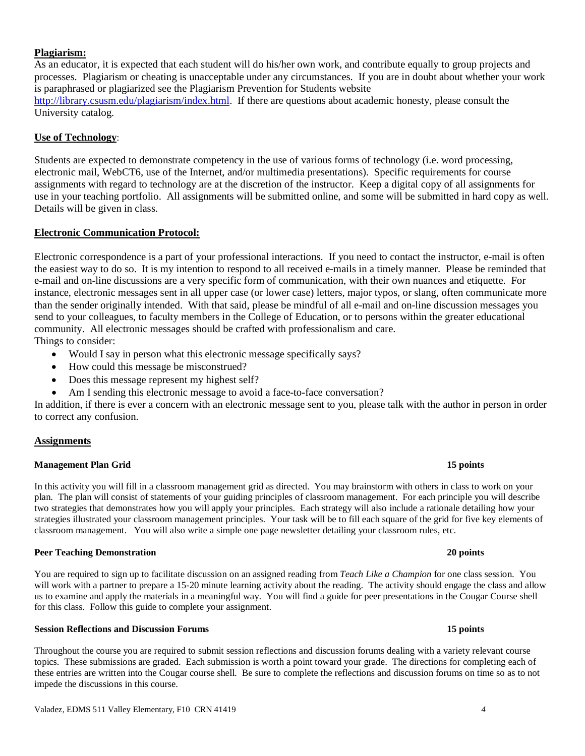## **Plagiarism:**

As an educator, it is expected that each student will do his/her own work, and contribute equally to group projects and processes. Plagiarism or cheating is unacceptable under any circumstances. If you are in doubt about whether your work is paraphrased or plagiarized see the Plagiarism Prevention for Students website [http://library.csusm.edu/plagiarism/index.html.](http://library.csusm.edu/plagiarism/index.html) If there are questions about academic honesty, please consult the University catalog.

### **Use of Technology**:

Students are expected to demonstrate competency in the use of various forms of technology (i.e. word processing, electronic mail, WebCT6, use of the Internet, and/or multimedia presentations). Specific requirements for course assignments with regard to technology are at the discretion of the instructor. Keep a digital copy of all assignments for use in your teaching portfolio. All assignments will be submitted online, and some will be submitted in hard copy as well. Details will be given in class.

## **Electronic Communication Protocol:**

Electronic correspondence is a part of your professional interactions. If you need to contact the instructor, e-mail is often the easiest way to do so. It is my intention to respond to all received e-mails in a timely manner. Please be reminded that e-mail and on-line discussions are a very specific form of communication, with their own nuances and etiquette. For instance, electronic messages sent in all upper case (or lower case) letters, major typos, or slang, often communicate more than the sender originally intended. With that said, please be mindful of all e-mail and on-line discussion messages you send to your colleagues, to faculty members in the College of Education, or to persons within the greater educational community. All electronic messages should be crafted with professionalism and care.

Things to consider:

- Would I say in person what this electronic message specifically says?
- How could this message be misconstrued?
- Does this message represent my highest self?
- Am I sending this electronic message to avoid a face-to-face conversation?

In addition, if there is ever a concern with an electronic message sent to you, please talk with the author in person in order to correct any confusion.

### **Assignments**

### **Management Plan Grid 15 points**

In this activity you will fill in a classroom management grid as directed. You may brainstorm with others in class to work on your plan. The plan will consist of statements of your guiding principles of classroom management. For each principle you will describe two strategies that demonstrates how you will apply your principles. Each strategy will also include a rationale detailing how your strategies illustrated your classroom management principles. Your task will be to fill each square of the grid for five key elements of classroom management. You will also write a simple one page newsletter detailing your classroom rules, etc.

#### **Peer Teaching Demonstration 20 points**

You are required to sign up to facilitate discussion on an assigned reading from *Teach Like a Champion* for one class session. You will work with a partner to prepare a 15-20 minute learning activity about the reading. The activity should engage the class and allow us to examine and apply the materials in a meaningful way. You will find a guide for peer presentations in the Cougar Course shell for this class. Follow this guide to complete your assignment.

### **Session Reflections and Discussion Forums 15 points**

Throughout the course you are required to submit session reflections and discussion forums dealing with a variety relevant course topics. These submissions are graded. Each submission is worth a point toward your grade. The directions for completing each of these entries are written into the Cougar course shell. Be sure to complete the reflections and discussion forums on time so as to not impede the discussions in this course.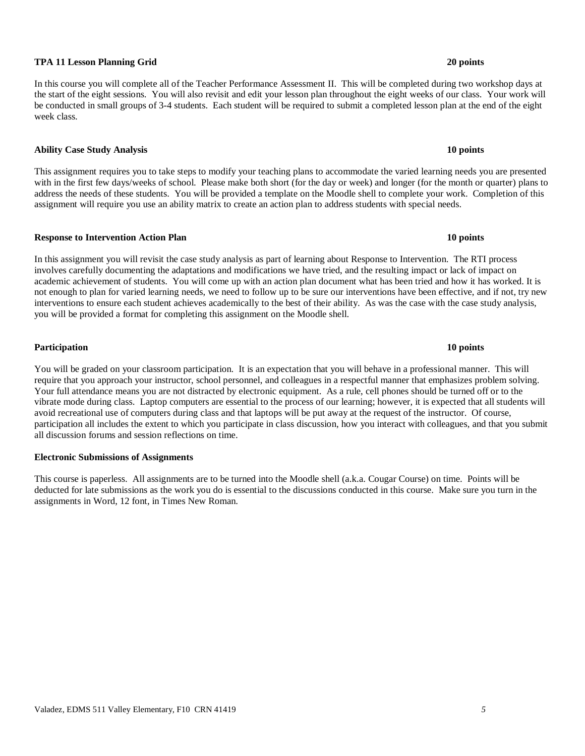#### Valadez, EDMS 511 Valley Elementary, F10 CRN 41419 *5*

#### **TPA 11 Lesson Planning Grid 20 points**

In this course you will complete all of the Teacher Performance Assessment II. This will be completed during two workshop days at the start of the eight sessions. You will also revisit and edit your lesson plan throughout the eight weeks of our class. Your work will be conducted in small groups of 3-4 students. Each student will be required to submit a completed lesson plan at the end of the eight week class.

#### **Ability Case Study Analysis 10 points**

This assignment requires you to take steps to modify your teaching plans to accommodate the varied learning needs you are presented with in the first few days/weeks of school. Please make both short (for the day or week) and longer (for the month or quarter) plans to address the needs of these students. You will be provided a template on the Moodle shell to complete your work. Completion of this assignment will require you use an ability matrix to create an action plan to address students with special needs.

#### **Response to Intervention Action Plan 10 points**

In this assignment you will revisit the case study analysis as part of learning about Response to Intervention. The RTI process involves carefully documenting the adaptations and modifications we have tried, and the resulting impact or lack of impact on academic achievement of students. You will come up with an action plan document what has been tried and how it has worked. It is not enough to plan for varied learning needs, we need to follow up to be sure our interventions have been effective, and if not, try new interventions to ensure each student achieves academically to the best of their ability. As was the case with the case study analysis, you will be provided a format for completing this assignment on the Moodle shell.

**Participation 10 points**

You will be graded on your classroom participation. It is an expectation that you will behave in a professional manner. This will require that you approach your instructor, school personnel, and colleagues in a respectful manner that emphasizes problem solving. Your full attendance means you are not distracted by electronic equipment. As a rule, cell phones should be turned off or to the vibrate mode during class. Laptop computers are essential to the process of our learning; however, it is expected that all students will avoid recreational use of computers during class and that laptops will be put away at the request of the instructor. Of course, participation all includes the extent to which you participate in class discussion, how you interact with colleagues, and that you submit all discussion forums and session reflections on time.

### **Electronic Submissions of Assignments**

This course is paperless. All assignments are to be turned into the Moodle shell (a.k.a. Cougar Course) on time. Points will be deducted for late submissions as the work you do is essential to the discussions conducted in this course. Make sure you turn in the assignments in Word, 12 font, in Times New Roman.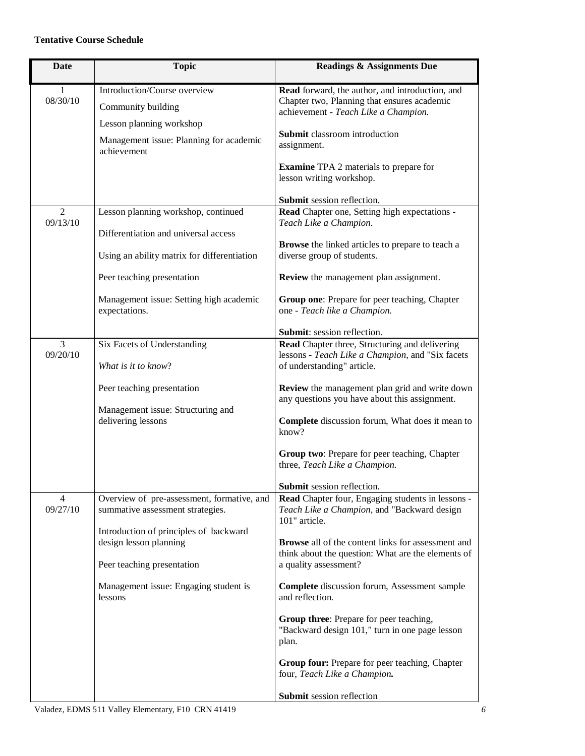## **Tentative Course Schedule**

| <b>Date</b>                | <b>Topic</b>                                                                   | <b>Readings &amp; Assignments Due</b>                                                                                                  |
|----------------------------|--------------------------------------------------------------------------------|----------------------------------------------------------------------------------------------------------------------------------------|
| 1<br>08/30/10              | Introduction/Course overview<br>Community building<br>Lesson planning workshop | Read forward, the author, and introduction, and<br>Chapter two, Planning that ensures academic<br>achievement - Teach Like a Champion. |
|                            | Management issue: Planning for academic<br>achievement                         | Submit classroom introduction<br>assignment.                                                                                           |
|                            |                                                                                | <b>Examine</b> TPA 2 materials to prepare for<br>lesson writing workshop.                                                              |
|                            |                                                                                | Submit session reflection.                                                                                                             |
| $\overline{2}$<br>09/13/10 | Lesson planning workshop, continued                                            | Read Chapter one, Setting high expectations -<br>Teach Like a Champion.                                                                |
|                            | Differentiation and universal access                                           |                                                                                                                                        |
|                            | Using an ability matrix for differentiation                                    | <b>Browse</b> the linked articles to prepare to teach a<br>diverse group of students.                                                  |
|                            | Peer teaching presentation                                                     | Review the management plan assignment.                                                                                                 |
|                            | Management issue: Setting high academic<br>expectations.                       | Group one: Prepare for peer teaching, Chapter<br>one - Teach like a Champion.                                                          |
|                            |                                                                                | Submit: session reflection.                                                                                                            |
| 3<br>09/20/10              | Six Facets of Understanding<br>What is it to know?                             | Read Chapter three, Structuring and delivering<br>lessons - Teach Like a Champion, and "Six facets                                     |
|                            |                                                                                | of understanding" article.                                                                                                             |
|                            | Peer teaching presentation                                                     | Review the management plan grid and write down<br>any questions you have about this assignment.                                        |
|                            | Management issue: Structuring and<br>delivering lessons                        | Complete discussion forum, What does it mean to<br>know?                                                                               |
|                            |                                                                                | Group two: Prepare for peer teaching, Chapter<br>three, Teach Like a Champion.                                                         |
|                            |                                                                                | Submit session reflection.                                                                                                             |
| 4<br>09/27/10              | Overview of pre-assessment, formative, and<br>summative assessment strategies. | Read Chapter four, Engaging students in lessons -<br>Teach Like a Champion, and "Backward design<br>101" article.                      |
|                            | Introduction of principles of backward                                         |                                                                                                                                        |
|                            | design lesson planning                                                         | <b>Browse</b> all of the content links for assessment and<br>think about the question: What are the elements of                        |
|                            | Peer teaching presentation                                                     | a quality assessment?                                                                                                                  |
|                            | Management issue: Engaging student is<br>lessons                               | Complete discussion forum, Assessment sample<br>and reflection.                                                                        |
|                            |                                                                                | Group three: Prepare for peer teaching,<br>"Backward design 101," turn in one page lesson<br>plan.                                     |
|                            |                                                                                | Group four: Prepare for peer teaching, Chapter<br>four, Teach Like a Champion.                                                         |
|                            |                                                                                | Submit session reflection                                                                                                              |